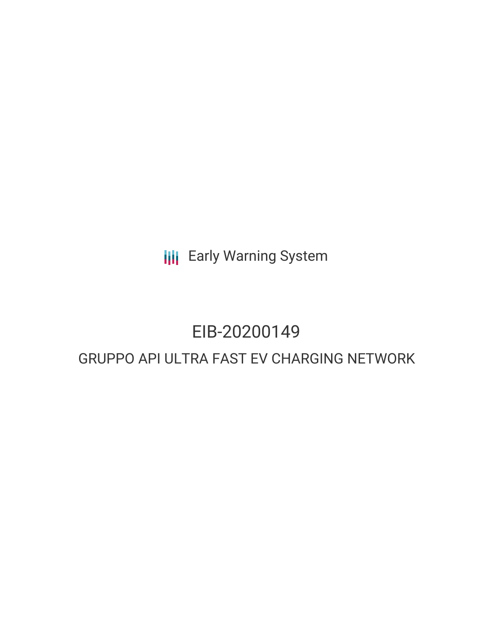**III** Early Warning System

## EIB-20200149

### GRUPPO API ULTRA FAST EV CHARGING NETWORK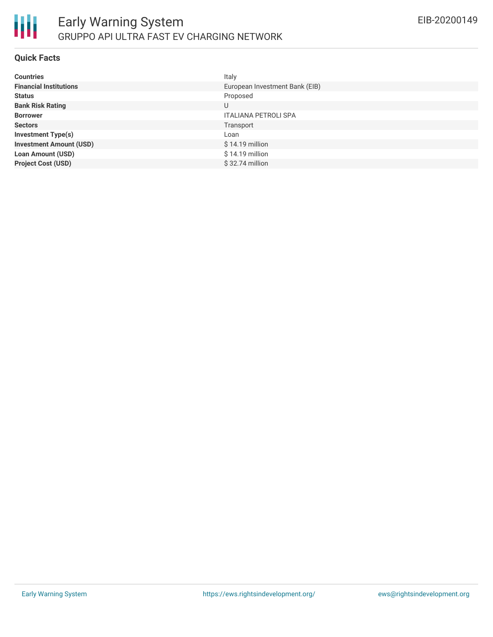

#### **Quick Facts**

| <b>Countries</b>               | Italy                          |
|--------------------------------|--------------------------------|
| <b>Financial Institutions</b>  | European Investment Bank (EIB) |
| <b>Status</b>                  | Proposed                       |
| <b>Bank Risk Rating</b>        | U                              |
| <b>Borrower</b>                | <b>ITALIANA PETROLI SPA</b>    |
| <b>Sectors</b>                 | Transport                      |
| <b>Investment Type(s)</b>      | Loan                           |
| <b>Investment Amount (USD)</b> | $$14.19$ million               |
| <b>Loan Amount (USD)</b>       | \$14.19 million                |
| <b>Project Cost (USD)</b>      | $$32.74$ million               |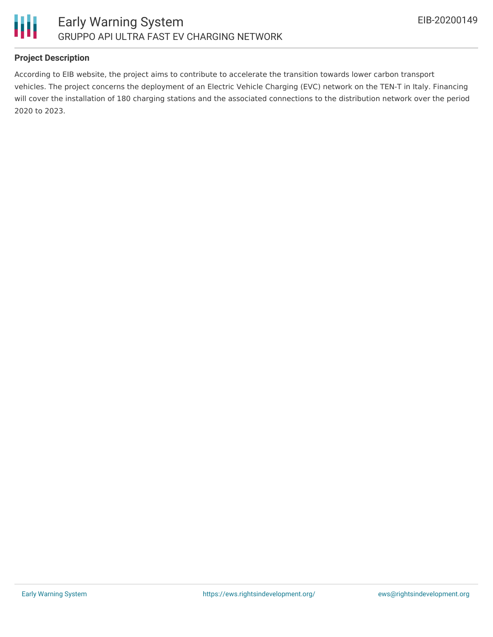

### **Project Description**

According to EIB website, the project aims to contribute to accelerate the transition towards lower carbon transport vehicles. The project concerns the deployment of an Electric Vehicle Charging (EVC) network on the TEN-T in Italy. Financing will cover the installation of 180 charging stations and the associated connections to the distribution network over the period 2020 to 2023.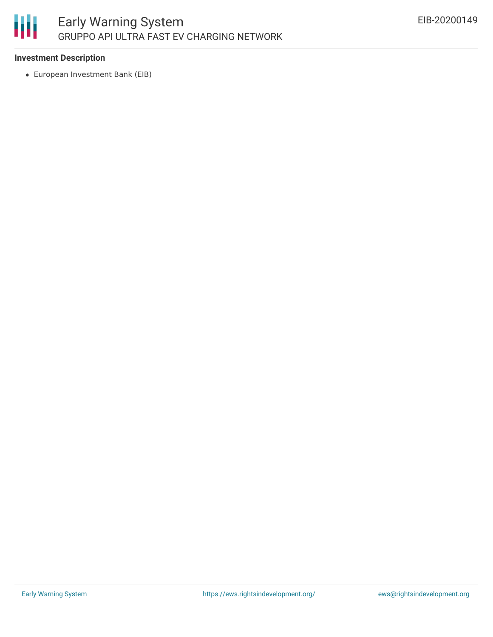

### **Investment Description**

European Investment Bank (EIB)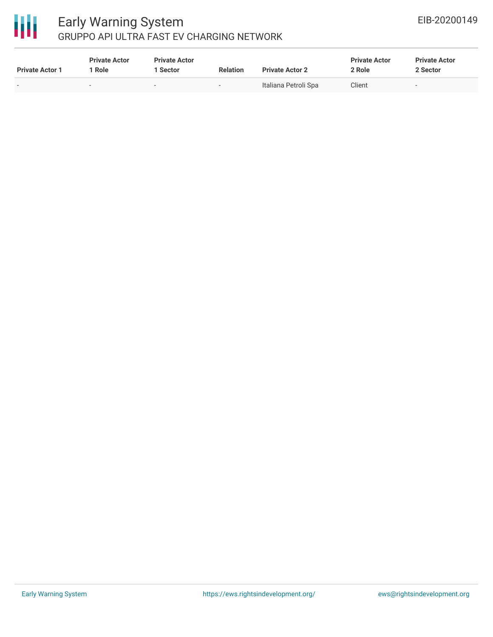# 冊

### Early Warning System GRUPPO API ULTRA FAST EV CHARGING NETWORK

| <b>Private Actor 1</b> | <b>Private Actor</b><br>1 Role | <b>Private Actor</b><br><b>Sector</b> | <b>Relation</b> | <b>Private Actor 2</b> | <b>Private Actor</b><br>2 Role | <b>Private Actor</b><br>2 Sector |
|------------------------|--------------------------------|---------------------------------------|-----------------|------------------------|--------------------------------|----------------------------------|
| $\sim$                 | $\sim$                         | $\overline{\phantom{a}}$              | $\sim$          | Italiana Petroli Spa   | Client                         |                                  |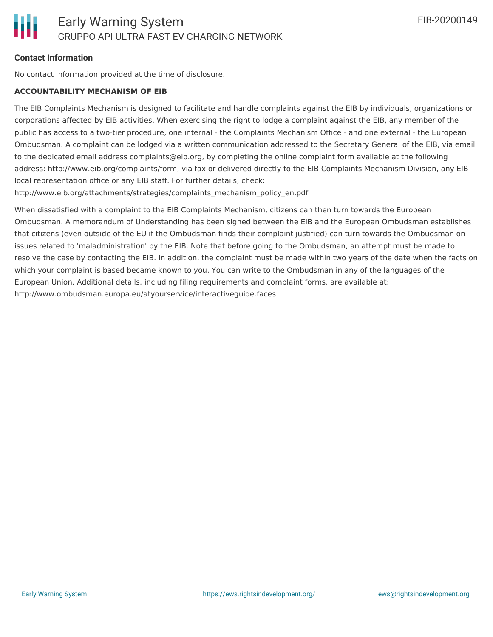### **Contact Information**

No contact information provided at the time of disclosure.

### **ACCOUNTABILITY MECHANISM OF EIB**

The EIB Complaints Mechanism is designed to facilitate and handle complaints against the EIB by individuals, organizations or corporations affected by EIB activities. When exercising the right to lodge a complaint against the EIB, any member of the public has access to a two-tier procedure, one internal - the Complaints Mechanism Office - and one external - the European Ombudsman. A complaint can be lodged via a written communication addressed to the Secretary General of the EIB, via email to the dedicated email address complaints@eib.org, by completing the online complaint form available at the following address: http://www.eib.org/complaints/form, via fax or delivered directly to the EIB Complaints Mechanism Division, any EIB local representation office or any EIB staff. For further details, check:

http://www.eib.org/attachments/strategies/complaints\_mechanism\_policy\_en.pdf

When dissatisfied with a complaint to the EIB Complaints Mechanism, citizens can then turn towards the European Ombudsman. A memorandum of Understanding has been signed between the EIB and the European Ombudsman establishes that citizens (even outside of the EU if the Ombudsman finds their complaint justified) can turn towards the Ombudsman on issues related to 'maladministration' by the EIB. Note that before going to the Ombudsman, an attempt must be made to resolve the case by contacting the EIB. In addition, the complaint must be made within two years of the date when the facts on which your complaint is based became known to you. You can write to the Ombudsman in any of the languages of the European Union. Additional details, including filing requirements and complaint forms, are available at: http://www.ombudsman.europa.eu/atyourservice/interactiveguide.faces